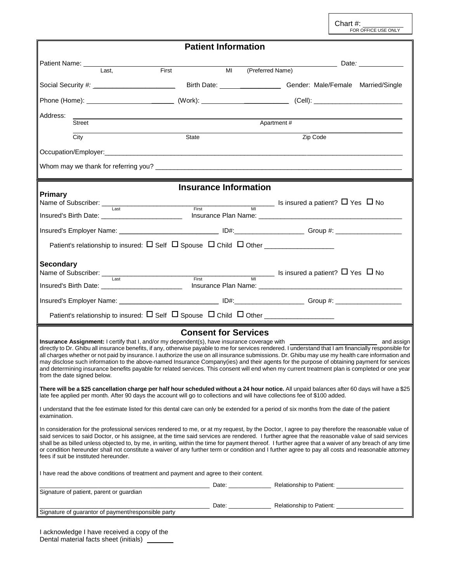Chart #:<br>FOR OFFICE USE ONLY

|                                                                                                                                                                                                                                                                                                                                                                                                                                                                                                                                                                                                                                                                | <b>Patient Information</b>                           |                                    |             |          |                                                                                                                                                                                                                               |
|----------------------------------------------------------------------------------------------------------------------------------------------------------------------------------------------------------------------------------------------------------------------------------------------------------------------------------------------------------------------------------------------------------------------------------------------------------------------------------------------------------------------------------------------------------------------------------------------------------------------------------------------------------------|------------------------------------------------------|------------------------------------|-------------|----------|-------------------------------------------------------------------------------------------------------------------------------------------------------------------------------------------------------------------------------|
| Patient Name: __________                                                                                                                                                                                                                                                                                                                                                                                                                                                                                                                                                                                                                                       |                                                      |                                    |             |          | Date: and the state of the state of the state of the state of the state of the state of the state of the state of the state of the state of the state of the state of the state of the state of the state of the state of the |
| Last,<br>First                                                                                                                                                                                                                                                                                                                                                                                                                                                                                                                                                                                                                                                 |                                                      | (Preferred Name)<br>M <sub>1</sub> |             |          |                                                                                                                                                                                                                               |
|                                                                                                                                                                                                                                                                                                                                                                                                                                                                                                                                                                                                                                                                |                                                      |                                    |             |          |                                                                                                                                                                                                                               |
|                                                                                                                                                                                                                                                                                                                                                                                                                                                                                                                                                                                                                                                                |                                                      |                                    |             |          |                                                                                                                                                                                                                               |
| Address:<br><u> 1989 - Johann Stein, marwolaethau a bhann an t-Amhair an t-Amhair an t-Amhair an t-Amhair an t-Amhair an t-A</u><br>Street                                                                                                                                                                                                                                                                                                                                                                                                                                                                                                                     |                                                      |                                    | Apartment # |          |                                                                                                                                                                                                                               |
| $\overline{City}$                                                                                                                                                                                                                                                                                                                                                                                                                                                                                                                                                                                                                                              | State                                                |                                    |             | Zip Code |                                                                                                                                                                                                                               |
|                                                                                                                                                                                                                                                                                                                                                                                                                                                                                                                                                                                                                                                                |                                                      |                                    |             |          |                                                                                                                                                                                                                               |
| Whom may we thank for referring you? $\frac{1}{2}$ and $\frac{1}{2}$ are the set of the set of the set of the set of the set of the set of the set of the set of the set of the set of the set of the set of the set of the set of th                                                                                                                                                                                                                                                                                                                                                                                                                          |                                                      |                                    |             |          |                                                                                                                                                                                                                               |
|                                                                                                                                                                                                                                                                                                                                                                                                                                                                                                                                                                                                                                                                |                                                      |                                    |             |          |                                                                                                                                                                                                                               |
| <b>Primary</b>                                                                                                                                                                                                                                                                                                                                                                                                                                                                                                                                                                                                                                                 | <b>Insurance Information</b>                         |                                    |             |          |                                                                                                                                                                                                                               |
| Name of Subscriber: $\frac{1}{\text{Last}}$ First $\frac{1}{\text{First}}$ Is insured a patient? $\Box$ Yes $\Box$ No                                                                                                                                                                                                                                                                                                                                                                                                                                                                                                                                          |                                                      |                                    |             |          |                                                                                                                                                                                                                               |
|                                                                                                                                                                                                                                                                                                                                                                                                                                                                                                                                                                                                                                                                |                                                      |                                    |             |          |                                                                                                                                                                                                                               |
| Insured's Employer Name: __________________________________ ID#:__________________ Group #: __________________                                                                                                                                                                                                                                                                                                                                                                                                                                                                                                                                                 |                                                      |                                    |             |          |                                                                                                                                                                                                                               |
| Patient's relationship to insured: $\Box$ Self $\Box$ Spouse $\Box$ Child $\Box$ Other                                                                                                                                                                                                                                                                                                                                                                                                                                                                                                                                                                         |                                                      |                                    |             |          |                                                                                                                                                                                                                               |
| <b>Secondary</b>                                                                                                                                                                                                                                                                                                                                                                                                                                                                                                                                                                                                                                               |                                                      |                                    |             |          |                                                                                                                                                                                                                               |
| Name of Subscriber: $\frac{1}{\text{Last}}$ First $\frac{1}{\text{First}}$ Is insured a patient? $\Box$ Yes $\Box$ No                                                                                                                                                                                                                                                                                                                                                                                                                                                                                                                                          |                                                      |                                    |             |          |                                                                                                                                                                                                                               |
|                                                                                                                                                                                                                                                                                                                                                                                                                                                                                                                                                                                                                                                                |                                                      |                                    |             |          |                                                                                                                                                                                                                               |
| Insured's Employer Name: ________________________________ ID#:___________________ Group #: ___________________                                                                                                                                                                                                                                                                                                                                                                                                                                                                                                                                                 |                                                      |                                    |             |          |                                                                                                                                                                                                                               |
| Patient's relationship to insured: $\Box$ Self $\Box$ Spouse $\Box$ Child $\Box$ Other                                                                                                                                                                                                                                                                                                                                                                                                                                                                                                                                                                         |                                                      |                                    |             |          |                                                                                                                                                                                                                               |
| directly to Dr. Ghibu all insurance benefits, if any, otherwise payable to me for services rendered. I understand that I am financially responsible for<br>all charges whether or not paid by insurance. I authorize the use on all insurance submissions. Dr. Ghibu may use my health care information and<br>may disclose such information to the above-named Insurance Company(ies) and their agents for the purpose of obtaining payment for services<br>and determining insurance benefits payable for related services. This consent will end when my current treatment plan is completed or one year<br>from the date signed below.                     | <b>Consent for Services</b>                          |                                    |             |          |                                                                                                                                                                                                                               |
| There will be a \$25 cancellation charge per half hour scheduled without a 24 hour notice. All unpaid balances after 60 days will have a \$25<br>late fee applied per month. After 90 days the account will go to collections and will have collections fee of \$100 added.                                                                                                                                                                                                                                                                                                                                                                                    |                                                      |                                    |             |          |                                                                                                                                                                                                                               |
| I understand that the fee estimate listed for this dental care can only be extended for a period of six months from the date of the patient<br>examination.                                                                                                                                                                                                                                                                                                                                                                                                                                                                                                    |                                                      |                                    |             |          |                                                                                                                                                                                                                               |
| In consideration for the professional services rendered to me, or at my request, by the Doctor, I agree to pay therefore the reasonable value of<br>said services to said Doctor, or his assignee, at the time said services are rendered. I further agree that the reasonable value of said services<br>shall be as billed unless objected to, by me, in writing, within the time for payment thereof. I further agree that a waiver of any breach of any time<br>or condition hereunder shall not constitute a waiver of any further term or condition and I further agree to pay all costs and reasonable attorney<br>fees if suit be instituted hereunder. |                                                      |                                    |             |          |                                                                                                                                                                                                                               |
| I have read the above conditions of treatment and payment and agree to their content.                                                                                                                                                                                                                                                                                                                                                                                                                                                                                                                                                                          |                                                      |                                    |             |          |                                                                                                                                                                                                                               |
| Signature of patient, parent or guardian                                                                                                                                                                                                                                                                                                                                                                                                                                                                                                                                                                                                                       | Date: Date: Relationship to Patient: 2000 Date: 2010 |                                    |             |          |                                                                                                                                                                                                                               |
|                                                                                                                                                                                                                                                                                                                                                                                                                                                                                                                                                                                                                                                                |                                                      |                                    |             |          |                                                                                                                                                                                                                               |
| Signature of guarantor of payment/responsible party                                                                                                                                                                                                                                                                                                                                                                                                                                                                                                                                                                                                            |                                                      |                                    |             |          |                                                                                                                                                                                                                               |

I acknowledge I have received a copy of the Dental material facts sheet (initials)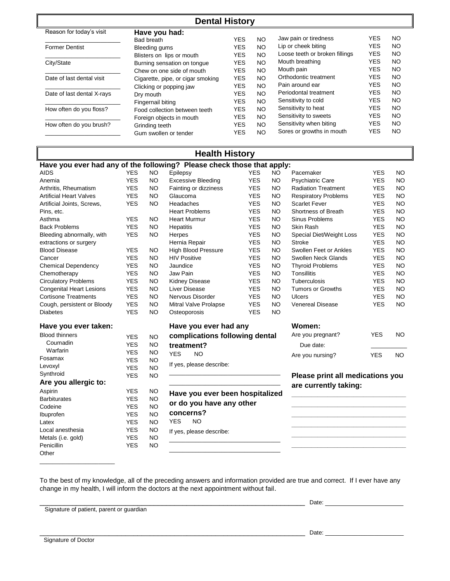| <b>Dental History</b>      |                                   |            |           |                                |            |           |  |  |
|----------------------------|-----------------------------------|------------|-----------|--------------------------------|------------|-----------|--|--|
| Reason for today's visit   | Have you had:                     |            |           |                                |            |           |  |  |
|                            | Bad breath                        | <b>YES</b> | NO.       | Jaw pain or tiredness          | <b>YES</b> | NO        |  |  |
| <b>Former Dentist</b>      | Bleeding gums                     | <b>YES</b> | NO.       | Lip or cheek biting            | <b>YES</b> | NO        |  |  |
|                            | Blisters on lips or mouth         | <b>YES</b> | <b>NO</b> | Loose teeth or broken fillings | <b>YES</b> | NO        |  |  |
| City/State                 | Burning sensation on tonque       | <b>YES</b> | NO.       | Mouth breathing                | <b>YES</b> | <b>NO</b> |  |  |
|                            | Chew on one side of mouth         | <b>YES</b> | NO.       | Mouth pain                     | <b>YES</b> | <b>NO</b> |  |  |
| Date of last dental visit  | Cigarette, pipe, or cigar smoking | <b>YES</b> | NO.       | Orthodontic treatment          | <b>YES</b> | <b>NO</b> |  |  |
|                            | Clicking or popping jaw           | <b>YES</b> | NO.       | Pain around ear                | <b>YES</b> | <b>NO</b> |  |  |
| Date of last dental X-rays | Dry mouth                         | <b>YES</b> | NO.       | Periodontal treatment          | <b>YES</b> | NO        |  |  |
|                            | Fingernail biting                 | <b>YES</b> | NO.       | Sensitivity to cold            | <b>YES</b> | <b>NO</b> |  |  |
| How often do you floss?    | Food collection between teeth     | <b>YES</b> | NO.       | Sensitivity to heat            | <b>YES</b> | NO        |  |  |
|                            | Foreign objects in mouth          | <b>YES</b> | NO.       | Sensitivity to sweets          | <b>YES</b> | <b>NO</b> |  |  |
| How often do you brush?    | Grinding teeth                    | <b>YES</b> | NO.       | Sensitivity when biting        | <b>YES</b> | <b>NO</b> |  |  |
|                            | Gum swollen or tender             | <b>YES</b> | <b>NO</b> | Sores or growths in mouth      | <b>YES</b> | NO        |  |  |

## **Health History**

| <b>Health History</b>                                                  |                       |           |                                                  |            |                     |                                  |            |           |  |
|------------------------------------------------------------------------|-----------------------|-----------|--------------------------------------------------|------------|---------------------|----------------------------------|------------|-----------|--|
| Have you ever had any of the following? Please check those that apply: |                       |           |                                                  |            |                     |                                  |            |           |  |
| AIDS                                                                   | <b>YES</b>            | <b>NO</b> | Epilepsy                                         | YES.       | NO                  | Pacemaker                        | <b>YES</b> | <b>NO</b> |  |
| Anemia                                                                 | <b>YES</b>            | <b>NO</b> | <b>Excessive Bleeding</b>                        | <b>YES</b> | <b>NO</b>           | <b>Psychiatric Care</b>          | <b>YES</b> | <b>NO</b> |  |
| Arthritis, Rheumatism                                                  | <b>YES</b>            | <b>NO</b> | Fainting or dizziness                            | <b>YES</b> | <b>NO</b>           | <b>Radiation Treatment</b>       | <b>YES</b> | <b>NO</b> |  |
| <b>Artificial Heart Valves</b>                                         | <b>YES</b>            | <b>NO</b> | Glaucoma                                         | <b>YES</b> | <b>NO</b>           | <b>Respiratory Problems</b>      | <b>YES</b> | <b>NO</b> |  |
| Artificial Joints, Screws,                                             | <b>YES</b>            | <b>NO</b> | Headaches                                        | <b>YES</b> | <b>NO</b>           | <b>Scarlet Fever</b>             | <b>YES</b> | <b>NO</b> |  |
| Pins, etc.                                                             |                       |           | <b>YES</b><br><b>NO</b><br><b>Heart Problems</b> |            | Shortness of Breath | <b>YES</b>                       | <b>NO</b>  |           |  |
| Asthma                                                                 | <b>YES</b>            | <b>NO</b> | <b>Heart Murmur</b>                              | <b>YES</b> | <b>NO</b>           | Sinus Problems                   | <b>YES</b> | <b>NO</b> |  |
| <b>Back Problems</b>                                                   | <b>YES</b>            | <b>NO</b> | Hepatitis                                        | <b>YES</b> | <b>NO</b>           | Skin Rash                        | <b>YES</b> | <b>NO</b> |  |
| Bleeding abnormally, with                                              | <b>YES</b>            | <b>NO</b> | Herpes                                           | <b>YES</b> | <b>NO</b>           | Special Diet/Weight Loss         | <b>YES</b> | <b>NO</b> |  |
| extractions or surgery                                                 |                       |           | Hernia Repair                                    | <b>YES</b> | <b>NO</b>           | <b>Stroke</b>                    | <b>YES</b> | <b>NO</b> |  |
| <b>Blood Disease</b>                                                   | <b>YES</b>            | <b>NO</b> | <b>High Blood Pressure</b>                       | <b>YES</b> | <b>NO</b>           | Swollen Feet or Ankles           | <b>YES</b> | <b>NO</b> |  |
| Cancer                                                                 | <b>YES</b>            | <b>NO</b> | <b>HIV Positive</b>                              | <b>YES</b> | <b>NO</b>           | Swollen Neck Glands              | <b>YES</b> | <b>NO</b> |  |
| <b>Chemical Dependency</b>                                             | <b>YES</b>            | <b>NO</b> | Jaundice                                         | <b>YES</b> | <b>NO</b>           | <b>Thyroid Problems</b>          | <b>YES</b> | <b>NO</b> |  |
| Chemotherapy                                                           | <b>YES</b>            | <b>NO</b> | Jaw Pain                                         | <b>YES</b> | <b>NO</b>           | Tonsillitis                      | <b>YES</b> | <b>NO</b> |  |
| <b>Circulatory Problems</b>                                            | <b>YES</b>            | <b>NO</b> | Kidney Disease                                   | <b>YES</b> | <b>NO</b>           | Tuberculosis                     | <b>YES</b> | <b>NO</b> |  |
| <b>Congenital Heart Lesions</b>                                        | <b>YES</b>            | <b>NO</b> | Liver Disease                                    | <b>YES</b> | <b>NO</b>           | <b>Tumors or Growths</b>         | <b>YES</b> | <b>NO</b> |  |
| <b>Cortisone Treatments</b>                                            | <b>YES</b>            | <b>NO</b> | Nervous Disorder                                 | <b>YES</b> | <b>NO</b>           | Ulcers                           | <b>YES</b> | <b>NO</b> |  |
| Cough, persistent or Bloody                                            | <b>YES</b>            | <b>NO</b> | Mitral Valve Prolapse                            | <b>YES</b> | <b>NO</b>           | <b>Venereal Disease</b>          | <b>YES</b> | <b>NO</b> |  |
| <b>Diabetes</b>                                                        | <b>YES</b>            | <b>NO</b> | Osteoporosis                                     | <b>YES</b> | <b>NO</b>           |                                  |            |           |  |
| Have you ever taken:                                                   | Have you ever had any |           |                                                  | Women:     |                     |                                  |            |           |  |
| <b>Blood thinners</b>                                                  | <b>YES</b>            | <b>NO</b> | complications following dental                   |            |                     | Are you pregnant?                | <b>YES</b> | <b>NO</b> |  |
| Coumadin                                                               | <b>YES</b>            | <b>NO</b> | treatment?                                       |            |                     | Due date:                        |            |           |  |
| Warfarin                                                               | <b>YES</b>            | <b>NO</b> | <b>YES</b><br><b>NO</b>                          |            |                     |                                  |            |           |  |
| Fosamax                                                                | <b>YES</b>            | <b>NO</b> |                                                  |            |                     | Are you nursing?                 | <b>YES</b> | <b>NO</b> |  |
| Levoxyl                                                                | <b>YES</b>            | <b>NO</b> | If yes, please describe:                         |            |                     |                                  |            |           |  |
| Synthroid                                                              | <b>YES</b>            | <b>NO</b> |                                                  |            |                     | Please print all medications you |            |           |  |
| Are you allergic to:                                                   |                       |           |                                                  |            |                     | are currently taking:            |            |           |  |
| Aspirin                                                                | <b>YES</b>            | <b>NO</b> | Have you ever been hospitalized                  |            |                     |                                  |            |           |  |
| <b>Barbiturates</b>                                                    | <b>YES</b>            | <b>NO</b> |                                                  |            |                     |                                  |            |           |  |
| Codeine                                                                | <b>YES</b>            | <b>NO</b> | or do you have any other                         |            |                     |                                  |            |           |  |
| Ibuprofen                                                              | <b>YES</b>            | <b>NO</b> | concerns?                                        |            |                     |                                  |            |           |  |
| Latex                                                                  | <b>YES</b>            | <b>NO</b> | <b>YES</b><br><b>NO</b>                          |            |                     |                                  |            |           |  |
| Local anesthesia                                                       | <b>YES</b>            | <b>NO</b> | If yes, please describe:                         |            |                     |                                  |            |           |  |
| Metals (i.e. gold)                                                     | <b>YES</b>            | <b>NO</b> |                                                  |            |                     |                                  |            |           |  |
| Penicillin                                                             | <b>YES</b>            | <b>NO</b> |                                                  |            |                     |                                  |            |           |  |
| Other                                                                  |                       |           |                                                  |            |                     |                                  |            |           |  |

To the best of my knowledge, all of the preceding answers and information provided are true and correct. If I ever have any change in my health, I will inform the doctors at the next appointment without fail.

Signature of patient, parent or guardian

\_\_\_\_\_\_\_\_\_\_\_\_\_\_\_\_\_\_\_\_\_\_\_\_\_\_\_\_\_\_\_\_\_\_\_\_\_\_\_\_\_\_\_\_\_\_\_\_\_\_\_\_\_\_\_\_\_\_\_\_\_\_\_\_\_ Date:

\_\_\_\_\_\_\_\_\_\_\_\_\_\_\_\_\_\_\_\_\_\_\_